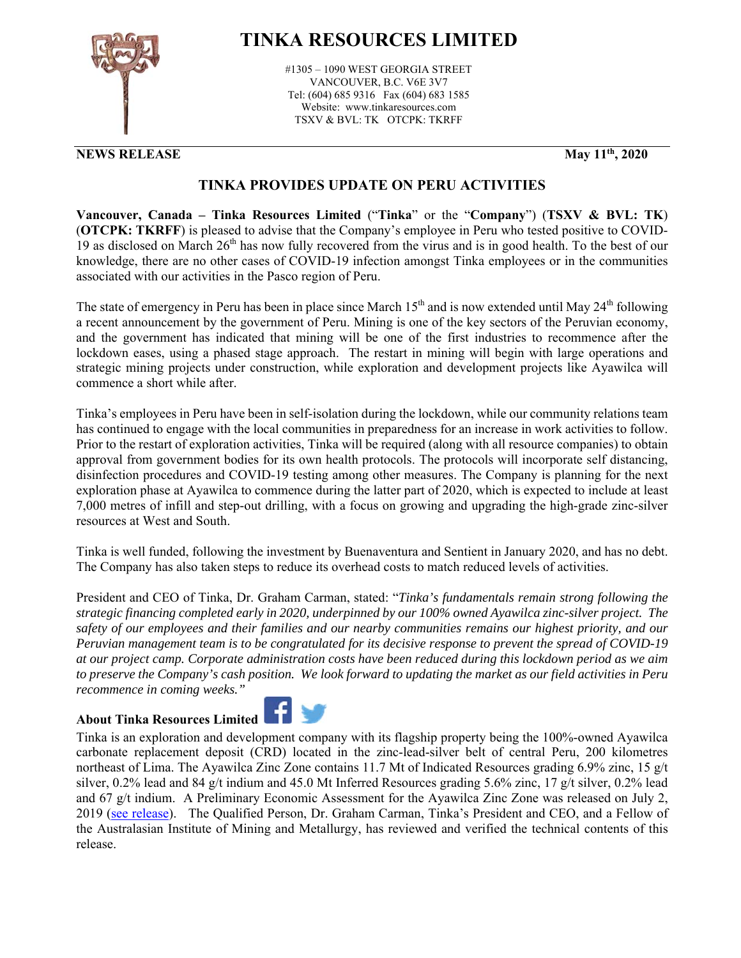

## **TINKA RESOURCES LIMITED**

#1305 – 1090 WEST GEORGIA STREET VANCOUVER, B.C. V6E 3V7 Tel: (604) 685 9316 Fax (604) 683 1585 Website: www.tinkaresources.com TSXV & BVL: TK OTCPK: TKRFF

## **NEWS RELEASE May 11<sup>th</sup>, 2020**

## **TINKA PROVIDES UPDATE ON PERU ACTIVITIES**

**Vancouver, Canada – Tinka Resources Limited** ("**Tinka**" or the "**Company**") (**TSXV & BVL: TK**) (**OTCPK: TKRFF**) is pleased to advise that the Company's employee in Peru who tested positive to COVID-19 as disclosed on March  $26<sup>th</sup>$  has now fully recovered from the virus and is in good health. To the best of our knowledge, there are no other cases of COVID-19 infection amongst Tinka employees or in the communities associated with our activities in the Pasco region of Peru.

The state of emergency in Peru has been in place since March 15<sup>th</sup> and is now extended until May 24<sup>th</sup> following a recent announcement by the government of Peru. Mining is one of the key sectors of the Peruvian economy, and the government has indicated that mining will be one of the first industries to recommence after the lockdown eases, using a phased stage approach. The restart in mining will begin with large operations and strategic mining projects under construction, while exploration and development projects like Ayawilca will commence a short while after.

Tinka's employees in Peru have been in self-isolation during the lockdown, while our community relations team has continued to engage with the local communities in preparedness for an increase in work activities to follow. Prior to the restart of exploration activities, Tinka will be required (along with all resource companies) to obtain approval from government bodies for its own health protocols. The protocols will incorporate self distancing, disinfection procedures and COVID-19 testing among other measures. The Company is planning for the next exploration phase at Ayawilca to commence during the latter part of 2020, which is expected to include at least 7,000 metres of infill and step-out drilling, with a focus on growing and upgrading the high-grade zinc-silver resources at West and South.

Tinka is well funded, following the investment by Buenaventura and Sentient in January 2020, and has no debt. The Company has also taken steps to reduce its overhead costs to match reduced levels of activities.

President and CEO of Tinka, Dr. Graham Carman, stated: "*Tinka's fundamentals remain strong following the strategic financing completed early in 2020, underpinned by our 100% owned Ayawilca zinc-silver project. The safety of our employees and their families and our nearby communities remains our highest priority, and our Peruvian management team is to be congratulated for its decisive response to prevent the spread of COVID-19 at our project camp. Corporate administration costs have been reduced during this lockdown period as we aim to preserve the Company's cash position. We look forward to updating the market as our field activities in Peru recommence in coming weeks."* 

## **About Tinka Resources Limited**



Tinka is an exploration and development company with its flagship property being the 100%-owned Ayawilca carbonate replacement deposit (CRD) located in the zinc-lead-silver belt of central Peru, 200 kilometres northeast of Lima. The Ayawilca Zinc Zone contains 11.7 Mt of Indicated Resources grading 6.9% zinc, 15 g/t silver, 0.2% lead and 84 g/t indium and 45.0 Mt Inferred Resources grading 5.6% zinc, 17 g/t silver, 0.2% lead and 67 g/t indium. A Preliminary Economic Assessment for the Ayawilca Zinc Zone was released on July 2, 2019 (see release). The Qualified Person, Dr. Graham Carman, Tinka's President and CEO, and a Fellow of the Australasian Institute of Mining and Metallurgy, has reviewed and verified the technical contents of this release.